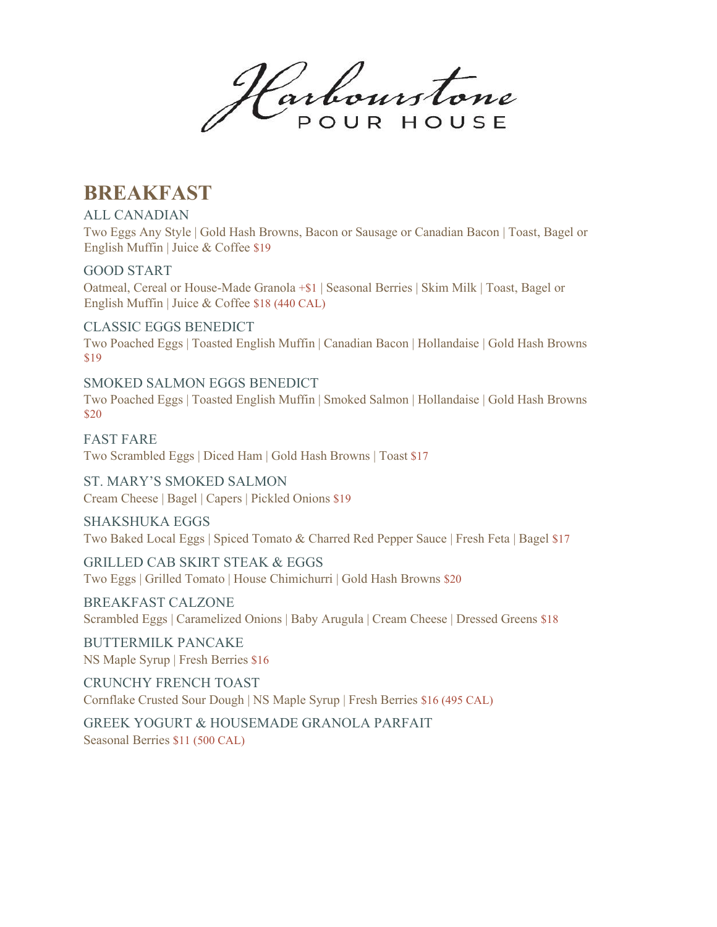Harbourstone POUR HOUSE

## **BREAKFAST**

ALL CANADIAN

Two Eggs Any Style | Gold Hash Browns, Bacon or Sausage or Canadian Bacon | Toast, Bagel or English Muffin | Juice & Coffee \$19

GOOD START

Oatmeal, Cereal or House-Made Granola +\$1 | Seasonal Berries | Skim Milk | Toast, Bagel or English Muffin | Juice & Coffee \$18 (440 CAL)

CLASSIC EGGS BENEDICT Two Poached Eggs | Toasted English Muffin | Canadian Bacon | Hollandaise | Gold Hash Browns \$19

SMOKED SALMON EGGS BENEDICT Two Poached Eggs | Toasted English Muffin | Smoked Salmon | Hollandaise | Gold Hash Browns \$20

FAST FARE Two Scrambled Eggs | Diced Ham | Gold Hash Browns | Toast \$17

ST. MARY'S SMOKED SALMON Cream Cheese | Bagel | Capers | Pickled Onions \$19

SHAKSHUKA EGGS Two Baked Local Eggs | Spiced Tomato & Charred Red Pepper Sauce | Fresh Feta | Bagel \$17

GRILLED CAB SKIRT STEAK & EGGS Two Eggs | Grilled Tomato | House Chimichurri | Gold Hash Browns \$20

BREAKFAST CALZONE Scrambled Eggs | Caramelized Onions | Baby Arugula | Cream Cheese | Dressed Greens \$18

BUTTERMILK PANCAKE NS Maple Syrup | Fresh Berries \$16

CRUNCHY FRENCH TOAST Cornflake Crusted Sour Dough | NS Maple Syrup | Fresh Berries \$16 (495 CAL)

GREEK YOGURT & HOUSEMADE GRANOLA PARFAIT Seasonal Berries \$11 (500 CAL)